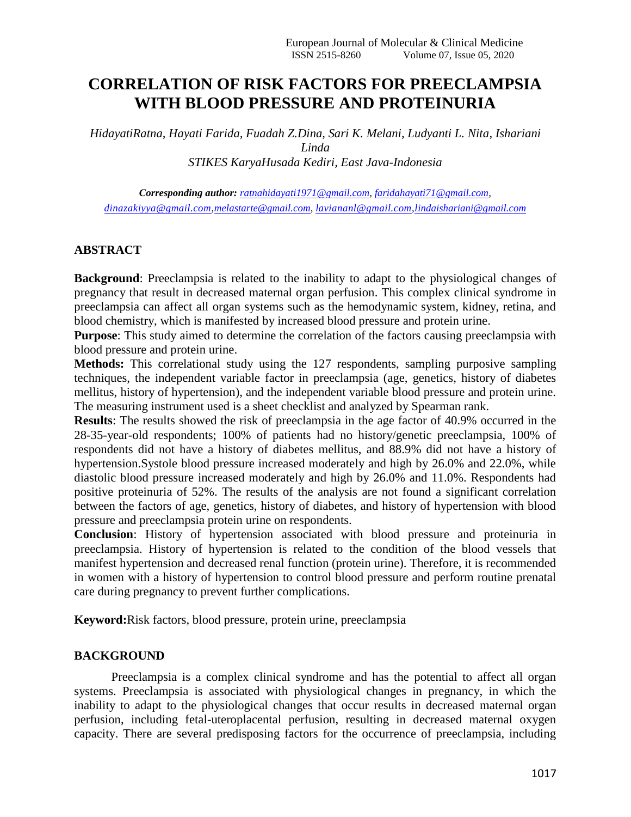# **CORRELATION OF RISK FACTORS FOR PREECLAMPSIA WITH BLOOD PRESSURE AND PROTEINURIA**

*HidayatiRatna, Hayati Farida, Fuadah Z.Dina, Sari K. Melani, Ludyanti L. Nita, Ishariani Linda STIKES KaryaHusada Kediri, East Java-Indonesia*

*Corresponding author: [ratnahidayati1971@gmail.com,](mailto:ratnahidayati1971@gmail.com) [faridahayati71@gmail.com,](mailto:faridahayati71@gmail.com) [dinazakiyya@gmail.com,](mailto:dinazakiyya@gmail.com)[melastarte@gmail.com,](mailto:melastarte@gmail.com) [laviananl@gmail.com](mailto:laviananl@gmail.com)[,lindaishariani@gmail.com](mailto:lindaishariani@gmail.com)*

## **ABSTRACT**

**Background**: Preeclampsia is related to the inability to adapt to the physiological changes of pregnancy that result in decreased maternal organ perfusion. This complex clinical syndrome in preeclampsia can affect all organ systems such as the hemodynamic system, kidney, retina, and blood chemistry, which is manifested by increased blood pressure and protein urine.

**Purpose**: This study aimed to determine the correlation of the factors causing preeclampsia with blood pressure and protein urine.

**Methods:** This correlational study using the 127 respondents, sampling purposive sampling techniques, the independent variable factor in preeclampsia (age, genetics, history of diabetes mellitus, history of hypertension), and the independent variable blood pressure and protein urine. The measuring instrument used is a sheet checklist and analyzed by Spearman rank.

**Results**: The results showed the risk of preeclampsia in the age factor of 40.9% occurred in the 28-35-year-old respondents; 100% of patients had no history/genetic preeclampsia, 100% of respondents did not have a history of diabetes mellitus, and 88.9% did not have a history of hypertension.Systole blood pressure increased moderately and high by 26.0% and 22.0%, while diastolic blood pressure increased moderately and high by 26.0% and 11.0%. Respondents had positive proteinuria of 52%. The results of the analysis are not found a significant correlation between the factors of age, genetics, history of diabetes, and history of hypertension with blood pressure and preeclampsia protein urine on respondents.

**Conclusion**: History of hypertension associated with blood pressure and proteinuria in preeclampsia. History of hypertension is related to the condition of the blood vessels that manifest hypertension and decreased renal function (protein urine). Therefore, it is recommended in women with a history of hypertension to control blood pressure and perform routine prenatal care during pregnancy to prevent further complications.

**Keyword:**Risk factors, blood pressure, protein urine, preeclampsia

#### **BACKGROUND**

Preeclampsia is a complex clinical syndrome and has the potential to affect all organ systems. Preeclampsia is associated with physiological changes in pregnancy, in which the inability to adapt to the physiological changes that occur results in decreased maternal organ perfusion, including fetal-uteroplacental perfusion, resulting in decreased maternal oxygen capacity. There are several predisposing factors for the occurrence of preeclampsia, including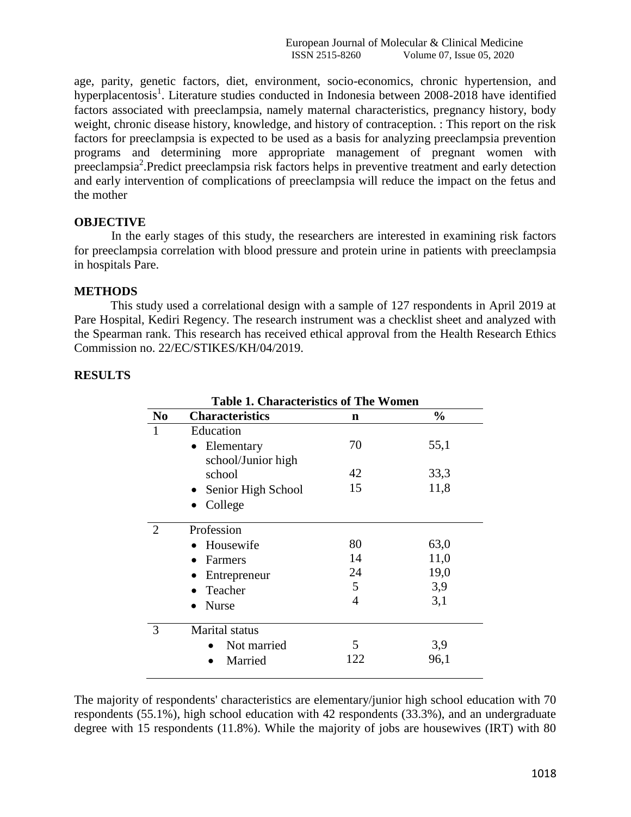age, parity, genetic factors, diet, environment, socio-economics, chronic hypertension, and hyperplacentosis<sup>1</sup>. Literature studies conducted in Indonesia between 2008-2018 have identified factors associated with preeclampsia, namely maternal characteristics, pregnancy history, body weight, chronic disease history, knowledge, and history of contraception. : This report on the risk factors for preeclampsia is expected to be used as a basis for analyzing preeclampsia prevention programs and determining more appropriate management of pregnant women with preeclampsia<sup>2</sup>.Predict preeclampsia risk factors helps in preventive treatment and early detection and early intervention of complications of preeclampsia will reduce the impact on the fetus and the mother

## **OBJECTIVE**

In the early stages of this study, the researchers are interested in examining risk factors for preeclampsia correlation with blood pressure and protein urine in patients with preeclampsia in hospitals Pare.

#### **METHODS**

This study used a correlational design with a sample of 127 respondents in April 2019 at Pare Hospital, Kediri Regency. The research instrument was a checklist sheet and analyzed with the Spearman rank. This research has received ethical approval from the Health Research Ethics Commission no. 22/EC/STIKES/KH/04/2019.

| <b>Table 1. Characteristics of The Women</b> |                        |     |               |  |  |
|----------------------------------------------|------------------------|-----|---------------|--|--|
| N <sub>0</sub>                               | <b>Characteristics</b> | n   | $\frac{0}{0}$ |  |  |
| 1                                            | Education              |     |               |  |  |
|                                              | Elementary             | 70  | 55,1          |  |  |
|                                              | school/Junior high     |     |               |  |  |
|                                              | school                 | 42  | 33,3          |  |  |
|                                              | Senior High School     | 15  | 11,8          |  |  |
|                                              | College                |     |               |  |  |
| $\overline{2}$                               | Profession             |     |               |  |  |
|                                              | Housewife              | 80  | 63,0          |  |  |
|                                              | Farmers                | 14  | 11,0          |  |  |
|                                              | Entrepreneur           | 24  | 19,0          |  |  |
|                                              | Teacher                | 5   | 3,9           |  |  |
|                                              | <b>Nurse</b>           | 4   | 3,1           |  |  |
| 3                                            | <b>Marital</b> status  |     |               |  |  |
|                                              | Not married            | 5   | 3,9           |  |  |
|                                              | Married                | 122 | 96,1          |  |  |

# **RESULTS**

The majority of respondents' characteristics are elementary/junior high school education with 70 respondents (55.1%), high school education with 42 respondents (33.3%), and an undergraduate degree with 15 respondents (11.8%). While the majority of jobs are housewives (IRT) with 80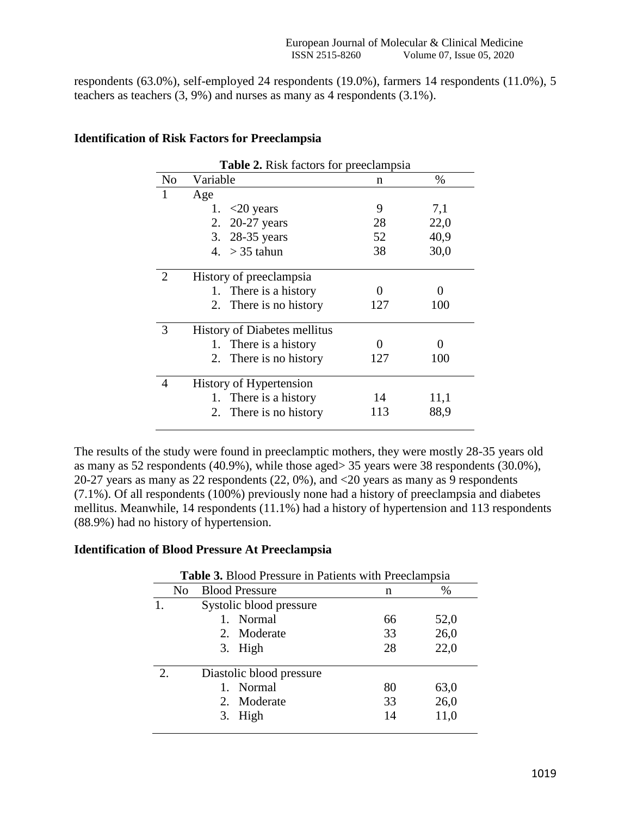respondents (63.0%), self-employed 24 respondents (19.0%), farmers 14 respondents (11.0%), 5 teachers as teachers (3, 9%) and nurses as many as 4 respondents (3.1%).

| <b>Table 2.</b> Risk factors for preeclampsia |                                     |     |      |  |  |  |
|-----------------------------------------------|-------------------------------------|-----|------|--|--|--|
| N <sub>0</sub>                                | Variable                            | n   | $\%$ |  |  |  |
|                                               | Age                                 |     |      |  |  |  |
|                                               | 1. $\langle 20 \rangle$ years       | 9   | 7,1  |  |  |  |
|                                               | 2. 20-27 years                      | 28  | 22,0 |  |  |  |
|                                               | 3. 28-35 years                      | 52  | 40,9 |  |  |  |
|                                               | 4. $>$ 35 tahun                     | 38  | 30,0 |  |  |  |
| 2                                             | History of preeclampsia             |     |      |  |  |  |
|                                               | 1. There is a history               |     |      |  |  |  |
|                                               | 2. There is no history              | 127 | 100  |  |  |  |
| 3                                             | <b>History of Diabetes mellitus</b> |     |      |  |  |  |
|                                               | 1. There is a history               |     |      |  |  |  |
|                                               | 2. There is no history              | 127 | 100  |  |  |  |
| 4                                             | History of Hypertension             |     |      |  |  |  |
|                                               | 1. There is a history               | 14  | 11,1 |  |  |  |
|                                               | 2. There is no history              | 113 | 88,9 |  |  |  |

# **Identification of Risk Factors for Preeclampsia**

The results of the study were found in preeclamptic mothers, they were mostly 28-35 years old as many as 52 respondents (40.9%), while those aged> 35 years were 38 respondents (30.0%), 20-27 years as many as 22 respondents (22, 0%), and <20 years as many as 9 respondents (7.1%). Of all respondents (100%) previously none had a history of preeclampsia and diabetes mellitus. Meanwhile, 14 respondents (11.1%) had a history of hypertension and 113 respondents (88.9%) had no history of hypertension.

# **Identification of Blood Pressure At Preeclampsia**

|             | <b>Table 3.</b> Blood Pressure in Patients with Preeclampsia |                          |    |      |  |  |
|-------------|--------------------------------------------------------------|--------------------------|----|------|--|--|
|             | N <sub>0</sub>                                               | <b>Blood Pressure</b>    | n  | %    |  |  |
|             |                                                              | Systolic blood pressure  |    |      |  |  |
|             |                                                              | 1. Normal                | 66 | 52,0 |  |  |
|             |                                                              | 2. Moderate              | 33 | 26,0 |  |  |
|             |                                                              | 3. High                  | 28 | 22,0 |  |  |
| $2_{\cdot}$ |                                                              | Diastolic blood pressure |    |      |  |  |
|             |                                                              | 1. Normal                | 80 | 63,0 |  |  |
|             |                                                              | 2. Moderate              | 33 | 26,0 |  |  |
|             |                                                              | 3. High                  | 14 | 11,0 |  |  |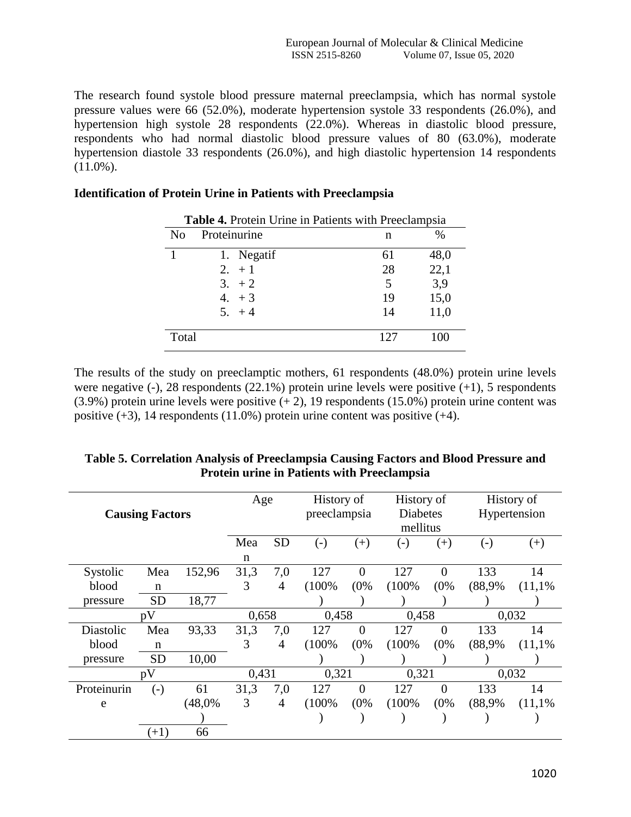The research found systole blood pressure maternal preeclampsia, which has normal systole pressure values were 66 (52.0%), moderate hypertension systole 33 respondents (26.0%), and hypertension high systole 28 respondents (22.0%). Whereas in diastolic blood pressure, respondents who had normal diastolic blood pressure values of 80 (63.0%), moderate hypertension diastole 33 respondents (26.0%), and high diastolic hypertension 14 respondents  $(11.0\%)$ .

## **Identification of Protein Urine in Patients with Preeclampsia**

| <b>Table 4.</b> Protein Urine in Patients with Preeclampsia |              |     |      |  |  |
|-------------------------------------------------------------|--------------|-----|------|--|--|
| N <sub>0</sub>                                              | Proteinurine | n   | $\%$ |  |  |
|                                                             | 1. Negatif   | 61  | 48,0 |  |  |
|                                                             | $2. + 1$     | 28  | 22,1 |  |  |
|                                                             | $3. +2$      | 5   | 3,9  |  |  |
|                                                             | $4. + 3$     | 19  | 15,0 |  |  |
|                                                             | $5. + 4$     | 14  | 11,0 |  |  |
| Total                                                       |              | 127 |      |  |  |

The results of the study on preeclamptic mothers, 61 respondents (48.0%) protein urine levels were negative  $(-)$ , 28 respondents  $(22.1\%)$  protein urine levels were positive  $(+1)$ , 5 respondents  $(3.9\%)$  protein urine levels were positive  $(+ 2)$ , 19 respondents  $(15.0\%)$  protein urine content was positive  $(+3)$ , 14 respondents  $(11.0\%)$  protein urine content was positive  $(+4)$ .

|                        |                   |        | Age   |                | History of        |                             | History of |          |              | History of |
|------------------------|-------------------|--------|-------|----------------|-------------------|-----------------------------|------------|----------|--------------|------------|
| <b>Causing Factors</b> |                   |        |       | preeclampsia   |                   | <b>Diabetes</b><br>mellitus |            |          | Hypertension |            |
|                        |                   |        | Mea   | <b>SD</b>      | $\left( -\right)$ | $(+)$                       | $(-)$      | $^{(+)}$ | $(\text{-})$ | $^{(+)}$   |
|                        |                   |        | n     |                |                   |                             |            |          |              |            |
| Systolic               | Mea               | 152,96 | 31,3  | 7,0            | 127               | $\Omega$                    | 127        | $\Omega$ | 133          | 14         |
| blood                  | $\mathbf n$       |        | 3     | $\overline{4}$ | (100%             | (0%                         | (100%      | (0%      | (88,9%       | (11,1%     |
| pressure               | <b>SD</b>         | 18,77  |       |                |                   |                             |            |          |              |            |
|                        | pV                |        | 0,658 |                | 0,458             |                             | 0,458      |          |              | 0,032      |
|                        |                   |        |       |                |                   |                             |            |          |              |            |
| Diastolic              | Mea               | 93,33  | 31,3  | 7,0            | 127               | $\overline{0}$              | 127        | $\Omega$ | 133          | 14         |
| blood                  | $\mathbf n$       |        | 3     | $\overline{4}$ | (100%             | (0%                         | (100%      | (0%      | (88,9%       | (11,1%     |
| pressure               | <b>SD</b>         | 10,00  |       |                |                   |                             |            |          |              |            |
|                        | pV                |        | 0,431 |                | 0,321             |                             | 0,321      |          |              | 0,032      |
| Proteinurin            | $\left( -\right)$ | 61     | 31,3  | 7,0            | 127               | $\theta$                    | 127        | $\theta$ | 133          | 14         |
| e                      |                   | (48,0% | 3     | $\overline{4}$ | (100%             | (0%                         | (100%      | (0%      | (88,9%       | (11,1%     |
|                        |                   |        |       |                |                   |                             |            |          |              |            |

| Table 5. Correlation Analysis of Preeclampsia Causing Factors and Blood Pressure and |
|--------------------------------------------------------------------------------------|
| <b>Protein urine in Patients with Preeclampsia</b>                                   |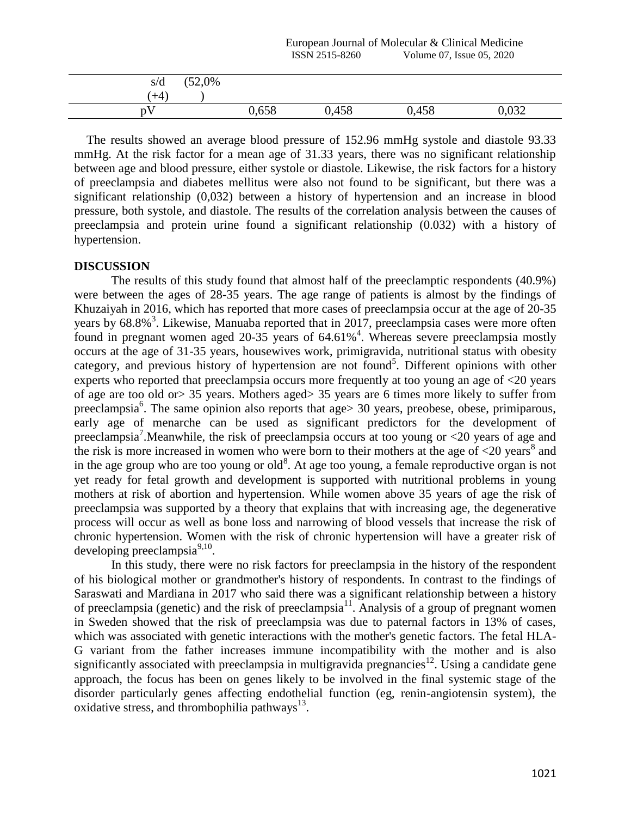| s/d   | (52,0% |       |       |       |       |
|-------|--------|-------|-------|-------|-------|
| $+4)$ |        |       |       |       |       |
| nV    |        | 0,658 | 0,458 | 0,458 | 0,032 |

 The results showed an average blood pressure of 152.96 mmHg systole and diastole 93.33 mmHg. At the risk factor for a mean age of 31.33 years, there was no significant relationship between age and blood pressure, either systole or diastole. Likewise, the risk factors for a history of preeclampsia and diabetes mellitus were also not found to be significant, but there was a significant relationship (0,032) between a history of hypertension and an increase in blood pressure, both systole, and diastole. The results of the correlation analysis between the causes of preeclampsia and protein urine found a significant relationship (0.032) with a history of hypertension.

## **DISCUSSION**

The results of this study found that almost half of the preeclamptic respondents (40.9%) were between the ages of 28-35 years. The age range of patients is almost by the findings of Khuzaiyah in 2016, which has reported that more cases of preeclampsia occur at the age of 20-35 years by  $68.8\%$ <sup>3</sup>. Likewise, Manuaba reported that in 2017, preeclampsia cases were more often found in pregnant women aged 20-35 years of  $64.61\%$ <sup>4</sup>. Whereas severe preeclampsia mostly occurs at the age of 31-35 years, housewives work, primigravida, nutritional status with obesity category, and previous history of hypertension are not found<sup>5</sup>. Different opinions with other experts who reported that preeclampsia occurs more frequently at too young an age of <20 years of age are too old or> 35 years. Mothers aged> 35 years are 6 times more likely to suffer from preeclampsia<sup>6</sup>. The same opinion also reports that age> 30 years, preobese, obese, primiparous, early age of menarche can be used as significant predictors for the development of preeclampsia<sup>7</sup>. Meanwhile, the risk of preeclampsia occurs at too young or <20 years of age and the risk is more increased in women who were born to their mothers at the age of  $\langle 20 \rangle$  years<sup>8</sup> and in the age group who are too young or old<sup>8</sup>. At age too young, a female reproductive organ is not yet ready for fetal growth and development is supported with nutritional problems in young mothers at risk of abortion and hypertension. While women above 35 years of age the risk of preeclampsia was supported by a theory that explains that with increasing age, the degenerative process will occur as well as bone loss and narrowing of blood vessels that increase the risk of chronic hypertension. Women with the risk of chronic hypertension will have a greater risk of developing preeclampsia $9,10$ .

In this study, there were no risk factors for preeclampsia in the history of the respondent of his biological mother or grandmother's history of respondents. In contrast to the findings of Saraswati and Mardiana in 2017 who said there was a significant relationship between a history of preeclampsia (genetic) and the risk of preeclampsia<sup>11</sup>. Analysis of a group of pregnant women in Sweden showed that the risk of preeclampsia was due to paternal factors in 13% of cases, which was associated with genetic interactions with the mother's genetic factors. The fetal HLA-G variant from the father increases immune incompatibility with the mother and is also significantly associated with preeclampsia in multigravida pregnancies<sup>12</sup>. Using a candidate gene approach, the focus has been on genes likely to be involved in the final systemic stage of the disorder particularly genes affecting endothelial function (eg, renin-angiotensin system), the oxidative stress, and thrombophilia pathways<sup>13</sup>.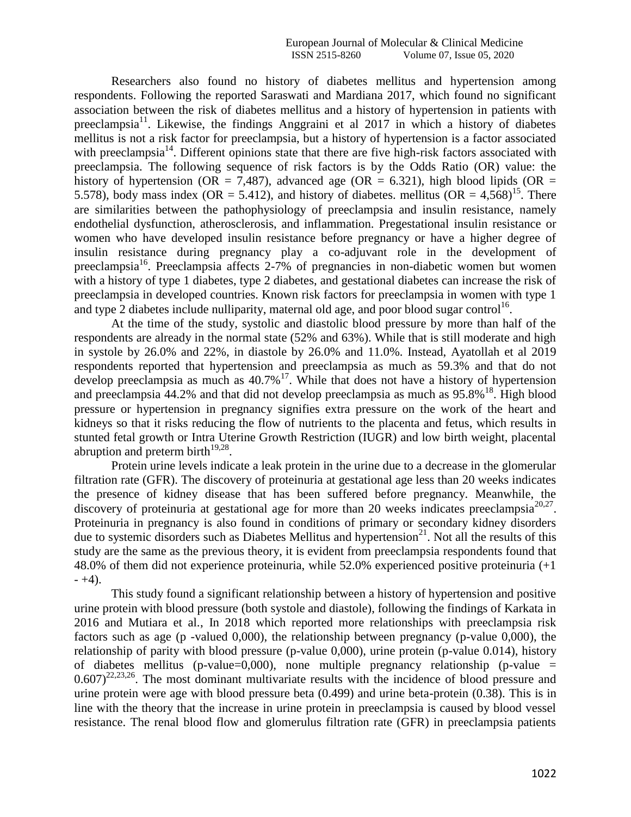Researchers also found no history of diabetes mellitus and hypertension among respondents. Following the reported Saraswati and Mardiana 2017, which found no significant association between the risk of diabetes mellitus and a history of hypertension in patients with preeclampsia<sup>11</sup>. Likewise, the findings Anggraini et al  $2017$  in which a history of diabetes mellitus is not a risk factor for preeclampsia, but a history of hypertension is a factor associated with preeclampsia<sup>14</sup>. Different opinions state that there are five high-risk factors associated with preeclampsia. The following sequence of risk factors is by the Odds Ratio (OR) value: the history of hypertension (OR = 7,487), advanced age (OR = 6.321), high blood lipids (OR = 5.578), body mass index (OR = 5.412), and history of diabetes. mellitus (OR =  $4.568$ )<sup>15</sup>. There are similarities between the pathophysiology of preeclampsia and insulin resistance, namely endothelial dysfunction, atherosclerosis, and inflammation. Pregestational insulin resistance or women who have developed insulin resistance before pregnancy or have a higher degree of insulin resistance during pregnancy play a co-adjuvant role in the development of preeclampsia<sup>16</sup>. Preeclampsia affects 2-7% of pregnancies in non-diabetic women but women with a history of type 1 diabetes, type 2 diabetes, and gestational diabetes can increase the risk of preeclampsia in developed countries. Known risk factors for preeclampsia in women with type 1 and type 2 diabetes include nulliparity, maternal old age, and poor blood sugar control<sup>16</sup>.

At the time of the study, systolic and diastolic blood pressure by more than half of the respondents are already in the normal state (52% and 63%). While that is still moderate and high in systole by 26.0% and 22%, in diastole by 26.0% and 11.0%. Instead, Ayatollah et al 2019 respondents reported that hypertension and preeclampsia as much as 59.3% and that do not develop preeclampsia as much as  $40.7\%$ <sup>17</sup>. While that does not have a history of hypertension and preeclampsia  $44.2\%$  and that did not develop preeclampsia as much as  $95.8\%$ <sup>18</sup>. High blood pressure or hypertension in pregnancy signifies extra pressure on the work of the heart and kidneys so that it risks reducing the flow of nutrients to the placenta and fetus, which results in stunted fetal growth or Intra Uterine Growth Restriction (IUGR) and low birth weight, placental abruption and preterm birth $^{19,28}$ .

Protein urine levels indicate a leak protein in the urine due to a decrease in the glomerular filtration rate (GFR). The discovery of proteinuria at gestational age less than 20 weeks indicates the presence of kidney disease that has been suffered before pregnancy. Meanwhile, the discovery of proteinuria at gestational age for more than 20 weeks indicates preeclampsia $^{20,27}$ . Proteinuria in pregnancy is also found in conditions of primary or secondary kidney disorders due to systemic disorders such as Diabetes Mellitus and hypertension<sup>21</sup>. Not all the results of this study are the same as the previous theory, it is evident from preeclampsia respondents found that 48.0% of them did not experience proteinuria, while 52.0% experienced positive proteinuria (+1  $- +4$ ).

This study found a significant relationship between a history of hypertension and positive urine protein with blood pressure (both systole and diastole), following the findings of Karkata in 2016 and Mutiara et al., In 2018 which reported more relationships with preeclampsia risk factors such as age (p -valued 0,000), the relationship between pregnancy (p-value 0,000), the relationship of parity with blood pressure (p-value 0,000), urine protein (p-value 0.014), history of diabetes mellitus (p-value=0,000), none multiple pregnancy relationship (p-value =  $0.607$ <sup>22,23,26</sup>. The most dominant multivariate results with the incidence of blood pressure and urine protein were age with blood pressure beta (0.499) and urine beta-protein (0.38). This is in line with the theory that the increase in urine protein in preeclampsia is caused by blood vessel resistance. The renal blood flow and glomerulus filtration rate (GFR) in preeclampsia patients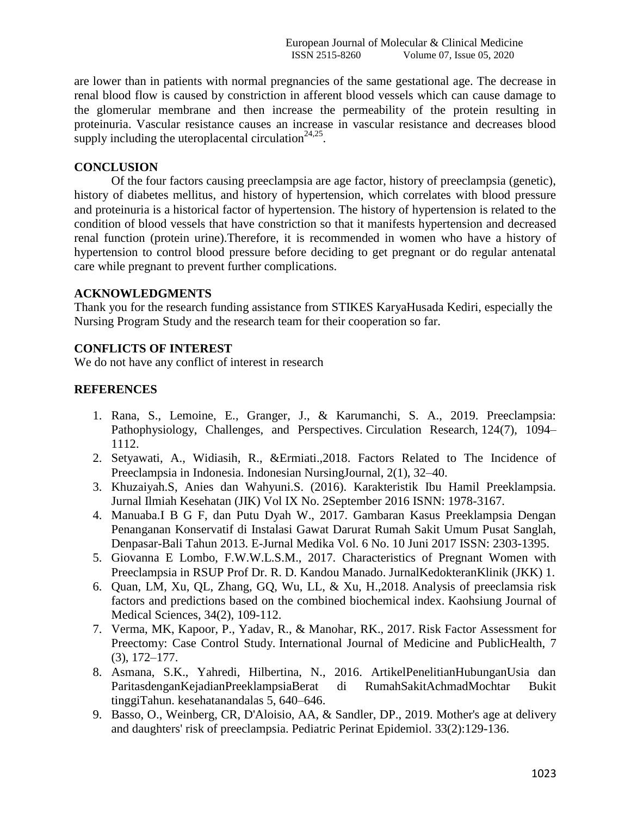European Journal of Molecular & Clinical Medicine ISSN 2515-8260 Volume 07, Issue 05, 2020

are lower than in patients with normal pregnancies of the same gestational age. The decrease in renal blood flow is caused by constriction in afferent blood vessels which can cause damage to the glomerular membrane and then increase the permeability of the protein resulting in proteinuria. Vascular resistance causes an increase in vascular resistance and decreases blood supply including the uteroplacental circulation $24.25$ .

# **CONCLUSION**

Of the four factors causing preeclampsia are age factor, history of preeclampsia (genetic), history of diabetes mellitus, and history of hypertension, which correlates with blood pressure and proteinuria is a historical factor of hypertension. The history of hypertension is related to the condition of blood vessels that have constriction so that it manifests hypertension and decreased renal function (protein urine).Therefore, it is recommended in women who have a history of hypertension to control blood pressure before deciding to get pregnant or do regular antenatal care while pregnant to prevent further complications.

#### **ACKNOWLEDGMENTS**

Thank you for the research funding assistance from STIKES KaryaHusada Kediri, especially the Nursing Program Study and the research team for their cooperation so far.

# **CONFLICTS OF INTEREST**

We do not have any conflict of interest in research

#### **REFERENCES**

- 1. Rana, S., Lemoine, E., Granger, J., & Karumanchi, S. A., 2019. Preeclampsia: Pathophysiology, Challenges, and Perspectives. Circulation Research, 124(7), 1094– 1112.
- 2. Setyawati, A., Widiasih, R., &Ermiati.,2018. Factors Related to The Incidence of Preeclampsia in Indonesia. Indonesian NursingJournal, 2(1), 32–40.
- 3. Khuzaiyah.S, Anies dan Wahyuni.S. (2016). Karakteristik Ibu Hamil Preeklampsia. Jurnal Ilmiah Kesehatan (JIK) Vol IX No. 2September 2016 ISNN: 1978-3167.
- 4. Manuaba.I B G F, dan Putu Dyah W., 2017. Gambaran Kasus Preeklampsia Dengan Penanganan Konservatif di Instalasi Gawat Darurat Rumah Sakit Umum Pusat Sanglah, Denpasar-Bali Tahun 2013. E-Jurnal Medika Vol. 6 No. 10 Juni 2017 ISSN: 2303-1395.
- 5. Giovanna E Lombo, F.W.W.L.S.M., 2017. Characteristics of Pregnant Women with Preeclampsia in RSUP Prof Dr. R. D. Kandou Manado. JurnalKedokteranKlinik (JKK) 1.
- 6. Quan, LM, Xu, QL, Zhang, GQ, Wu, LL, & Xu, H.,2018. Analysis of preeclamsia risk factors and predictions based on the combined biochemical index. Kaohsiung Journal of Medical Sciences, 34(2), 109-112.
- 7. Verma, MK, Kapoor, P., Yadav, R., & Manohar, RK., 2017. Risk Factor Assessment for Preectomy: Case Control Study. International Journal of Medicine and PublicHealth, 7 (3), 172–177.
- 8. Asmana, S.K., Yahredi, Hilbertina, N., 2016. ArtikelPenelitianHubunganUsia dan ParitasdenganKejadianPreeklampsiaBerat di RumahSakitAchmadMochtar Bukit tinggiTahun. kesehatanandalas 5, 640–646.
- 9. Basso, O., Weinberg, CR, D'Aloisio, AA, & Sandler, DP., 2019. Mother's age at delivery and daughters' risk of preeclampsia. Pediatric Perinat Epidemiol. 33(2):129-136.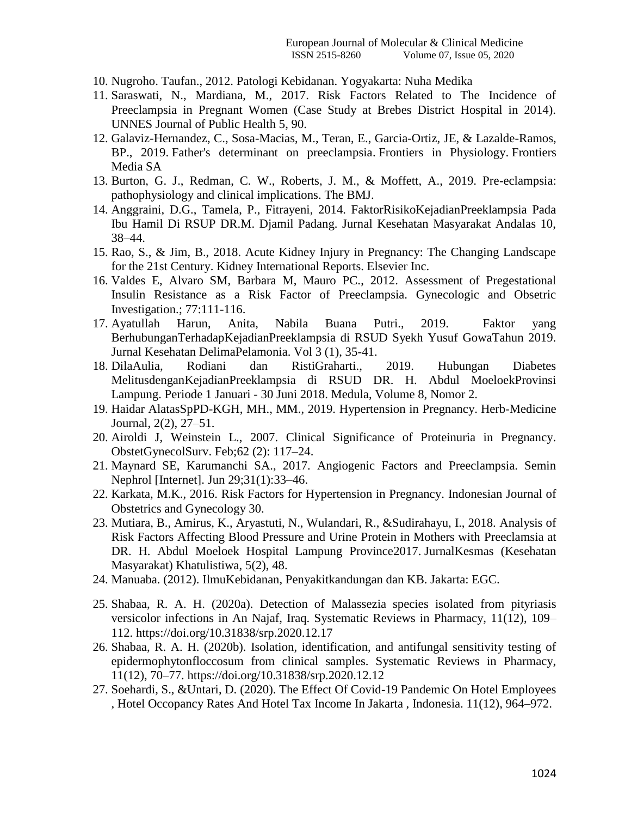- 10. Nugroho. Taufan., 2012. Patologi Kebidanan. Yogyakarta: Nuha Medika
- 11. Saraswati, N., Mardiana, M., 2017. Risk Factors Related to The Incidence of Preeclampsia in Pregnant Women (Case Study at Brebes District Hospital in 2014). UNNES Journal of Public Health 5, 90.
- 12. Galaviz-Hernandez, C., Sosa-Macias, M., Teran, E., Garcia-Ortiz, JE, & Lazalde-Ramos, BP., 2019. Father's determinant on preeclampsia. Frontiers in Physiology. Frontiers Media SA
- 13. Burton, G. J., Redman, C. W., Roberts, J. M., & Moffett, A., 2019. Pre-eclampsia: pathophysiology and clinical implications. The BMJ.
- 14. Anggraini, D.G., Tamela, P., Fitrayeni, 2014. FaktorRisikoKejadianPreeklampsia Pada Ibu Hamil Di RSUP DR.M. Djamil Padang. Jurnal Kesehatan Masyarakat Andalas 10, 38–44.
- 15. Rao, S., & Jim, B., 2018. Acute Kidney Injury in Pregnancy: The Changing Landscape for the 21st Century. Kidney International Reports. Elsevier Inc.
- 16. Valdes E, Alvaro SM, Barbara M, Mauro PC., 2012. Assessment of Pregestational Insulin Resistance as a Risk Factor of Preeclampsia. Gynecologic and Obsetric Investigation.; 77:111-116.
- 17. Ayatullah Harun, Anita, Nabila Buana Putri., 2019. Faktor yang BerhubunganTerhadapKejadianPreeklampsia di RSUD Syekh Yusuf GowaTahun 2019. Jurnal Kesehatan DelimaPelamonia. Vol 3 (1), 35-41.
- 18. DilaAulia, Rodiani dan RistiGraharti., 2019. Hubungan Diabetes MelitusdenganKejadianPreeklampsia di RSUD DR. H. Abdul MoeloekProvinsi Lampung. Periode 1 Januari - 30 Juni 2018. Medula, Volume 8, Nomor 2.
- 19. Haidar AlatasSpPD-KGH, MH., MM., 2019. Hypertension in Pregnancy. Herb-Medicine Journal, 2(2), 27–51.
- 20. Airoldi J, Weinstein L., 2007. Clinical Significance of Proteinuria in Pregnancy. ObstetGynecolSurv. Feb;62 (2): 117–24.
- 21. Maynard SE, Karumanchi SA., 2017. Angiogenic Factors and Preeclampsia. Semin Nephrol [Internet]. Jun 29;31(1):33–46.
- 22. Karkata, M.K., 2016. Risk Factors for Hypertension in Pregnancy. Indonesian Journal of Obstetrics and Gynecology 30.
- 23. Mutiara, B., Amirus, K., Aryastuti, N., Wulandari, R., &Sudirahayu, I., 2018. Analysis of Risk Factors Affecting Blood Pressure and Urine Protein in Mothers with Preeclamsia at DR. H. Abdul Moeloek Hospital Lampung Province2017. JurnalKesmas (Kesehatan Masyarakat) Khatulistiwa, 5(2), 48.
- 24. Manuaba. (2012). IlmuKebidanan, Penyakitkandungan dan KB. Jakarta: EGC.
- 25. Shabaa, R. A. H. (2020a). Detection of Malassezia species isolated from pityriasis versicolor infections in An Najaf, Iraq. Systematic Reviews in Pharmacy, 11(12), 109– 112. https://doi.org/10.31838/srp.2020.12.17
- 26. Shabaa, R. A. H. (2020b). Isolation, identification, and antifungal sensitivity testing of epidermophytonfloccosum from clinical samples. Systematic Reviews in Pharmacy, 11(12), 70–77. https://doi.org/10.31838/srp.2020.12.12
- 27. Soehardi, S., &Untari, D. (2020). The Effect Of Covid-19 Pandemic On Hotel Employees , Hotel Occopancy Rates And Hotel Tax Income In Jakarta , Indonesia. 11(12), 964–972.